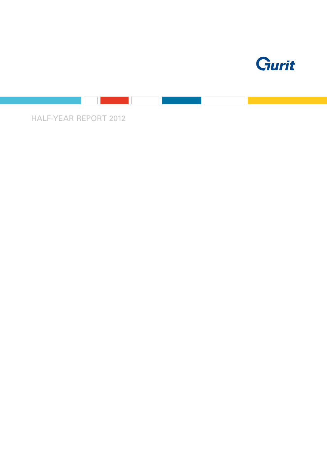

Half-year report 2012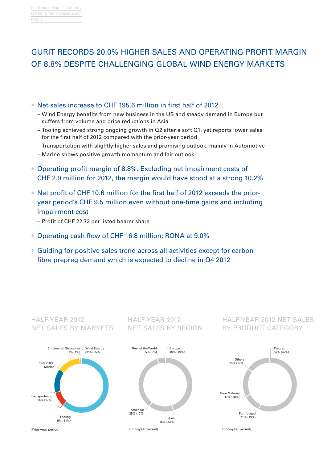# Gurit records 20.0% higher sales and Operating profit margin of 8.8% despite challenging global Wind energy markets

- Net sales increase to CHF 195.6 million in first half of 2012
	- Wind Energy benefits from new business in the US and steady demand in Europe but suffers from volume and price reductions in Asia
	- Tooling achieved strong ongoing growth in Q2 after a soft Q1, yet reports lower sales for the first half of 2012 compared with the prior-year period
	- Transportation with slightly higher sales and promising outlook, mainly in Automotive
	- Marine shows positive growth momentum and fair outlook
- Operating profit margin of 8.8%. Excluding net impairment costs of CHF 2.9 million for 2012, the margin would have stood at a strong 10.2%
- Net profit of CHF 10.6 million for the first half of 2012 exceeds the prioryear period's CHF 9.5 million even without one-time gains and including impairment cost
	- Profit of CHF 22.73 per listed bearer share
- Operating cash flow of CHF 16.8 million; RONA at 9.0%
- Guiding for positive sales trend across all activities except for carbon fibre prepreg demand which is expected to decline in Q4 2012

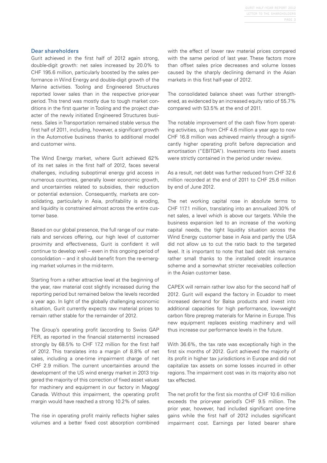#### Dear shareholders

Gurit achieved in the first half of 2012 again strong, double-digit growth: net sales increased by 20.0% to CHF 195.6 million, particularly boosted by the sales performance in Wind Energy and double-digit growth of the Marine activities. Tooling and Engineered Structures reported lower sales than in the respective prior-year period. This trend was mostly due to tough market conditions in the first quarter in Tooling and the project character of the newly initiated Engineered Structures business. Sales in Transportation remained stable versus the first half of 2011, including, however, a significant growth in the Automotive business thanks to additional model and customer wins.

The Wind Energy market, where Gurit achieved 62% of its net sales in the first half of 2012, faces several challenges, including suboptimal energy grid access in numerous countries, generally lower economic growth, and uncertainties related to subsidies, their reduction or potential extension. Consequently, markets are consolidating, particularly in Asia, profitability is eroding, and liquidity is constrained almost across the entire customer base.

Based on our global presence, the full range of our materials and services offering, our high level of customer proximity and effectiveness, Gurit is confident it will continue to develop well – even in this ongoing period of consolidation – and it should benefit from the re-emerging market volumes in the mid-term.

Starting from a rather attractive level at the beginning of the year, raw material cost slightly increased during the reporting period but remained below the levels recorded a year ago. In light of the globally challenging economic situation, Gurit currently expects raw material prices to remain rather stable for the remainder of 2012.

The Group's operating profit (according to Swiss GAP FER, as reported in the financial statements) increased strongly by 68.5% to CHF 17.2 million for the first half of 2012. This translates into a margin of 8.8% of net sales, including a one-time impairment charge of net CHF 2.9 million. The current uncertainties around the development of the US wind energy market in 2013 triggered the majority of this correction of fixed asset values for machinery and equipment in our factory in Magog/ Canada. Without this impairment, the operating profit margin would have reached a strong 10.2% of sales.

The rise in operating profit mainly reflects higher sales volumes and a better fixed cost absorption combined with the effect of lower raw material prices compared with the same period of last year. These factors more than offset sales price decreases and volume losses caused by the sharply declining demand in the Asian markets in this first half-year of 2012.

The consolidated balance sheet was further strengthened, as evidenced by an increased equity ratio of 55.7% compared with 53.5% at the end of 2011.

The notable improvement of the cash flow from operating activities, up from CHF 4.6 million a year ago to now CHF 16.8 million was achieved mainly through a significantly higher operating profit before depreciation and amortisation ("EBITDA"). Investments into fixed assets were strictly contained in the period under review.

As a result, net debt was further reduced from CHF 32.6 million recorded at the end of 2011 to CHF 25.6 million by end of June 2012.

The net working capital rose in absolute terms to CHF 117.1 million, translating into an annualized 30% of net sales, a level which is above our targets. While the business expansion led to an increase of the working capital needs, the tight liquidity situation across the Wind Energy customer base in Asia and partly the USA did not allow us to cut the ratio back to the targeted level. It is important to note that bad debt risk remains rather small thanks to the installed credit insurance scheme and a somewhat stricter receivables collection in the Asian customer base.

CAPEX will remain rather low also for the second half of 2012. Gurit will expand the factory in Ecuador to meet increased demand for Balsa products and invest into additional capacities for high performance, low-weight carbon fibre prepreg materials for Marine in Europe. This new equipment replaces existing machinery and will thus increase our performance levels in the future.

With 36.6%, the tax rate was exceptionally high in the first six months of 2012. Gurit achieved the majority of its profit in higher tax jurisdictions in Europe and did not capitalize tax assets on some losses incurred in other regions. The impairment cost was in its majority also not tax effected.

The net profit for the first six months of CHF 10.6 million exceeds the prior-year period's CHF 9.5 million. The prior year, however, had included significant one-time gains while the first half of 2012 includes significant impairment cost. Earnings per listed bearer share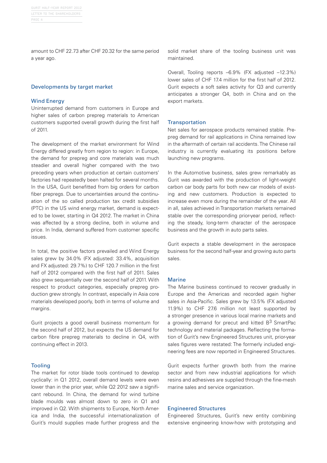amount to CHF 22.73 after CHF 20.32 for the same period a year ago.

#### Developments by target market

### Wind Energy

Uninterrupted demand from customers in Europe and higher sales of carbon prepreg materials to American customers supported overall growth during the first half of 2011.

The development of the market environment for Wind Energy differed greatly from region to region: in Europe, the demand for prepreg and core materials was much steadier and overall higher compared with the two preceding years when production at certain customers' factories had repeatedly been halted for several months. In the USA, Gurit benefitted from big orders for carbon fiber prepregs. Due to uncertainties around the continuation of the so called production tax credit subsidies (PTC) in the US wind energy market, demand is expected to be lower, starting in Q4 2012. The market in China was affected by a strong decline, both in volume and price. In India, demand suffered from customer specific issues.

In total, the positive factors prevailed and Wind Energy sales grew by 34.0% (FX adjusted: 33.4%, acquisition and FX adjusted: 29.7%) to CHF 120.7 million in the first half of 2012 compared with the first half of 2011. Sales also grew sequentially over the second half of 2011. With respect to product categories, especially prepreg production grew strongly. In contrast, especially in Asia core materials developed poorly, both in terms of volume and margins.

Gurit projects a good overall business momentum for the second half of 2012, but expects the US demand for carbon fibre prepreg materials to decline in Q4, with continuing effect in 2013.

### Tooling

The market for rotor blade tools continued to develop cyclically: in Q1 2012, overall demand levels were even lower than in the prior year, while Q2 2012 saw a significant rebound. In China, the demand for wind turbine blade moulds was almost down to zero in Q1 and improved in Q2. With shipments to Europe, North America and India, the successful internationalization of Gurit's mould supplies made further progress and the solid market share of the tooling business unit was maintained.

Overall, Tooling reports –6.9% (FX adjusted –12.3%) lower sales of CHF 17.4 million for the first half of 2012. Gurit expects a soft sales activity for Q3 and currently anticipates a stronger Q4, both in China and on the export markets.

### **Transportation**

Net sales for aerospace products remained stable. Prepreg demand for rail applications in China remained low in the aftermath of certain rail accidents. The Chinese rail industry is currently evaluating its positions before launching new programs.

In the Automotive business, sales grew remarkably as Gurit was awarded with the production of light-weight carbon car body parts for both new car models of existing and new customers. Production is expected to increase even more during the remainder of the year. All in all, sales achieved in Transportation markets remained stable over the corresponding prior-year period, reflecting the steady, long-term character of the aerospace business and the growth in auto parts sales.

Gurit expects a stable development in the aerospace business for the second half-year and growing auto parts sales.

### Marine

The Marine business continued to recover gradually in Europe and the Americas and recorded again higher sales in Asia-Pacific. Sales grew by 13.5% (FX adjusted 11.9%) to CHF 27.6 million not least supported by a stronger presence in various local marine markets and a growing demand for precut and kitted B<sup>3</sup> SmartPac technology and material packages. Reflecting the formation of Gurit's new Engineered Structures unit, prior-year sales figures were restated: The formerly included engineering fees are now reported in Engineered Structures.

Gurit expects further growth both from the marine sector and from new industrial applications for which resins and adhesives are supplied through the fine-mesh marine sales and service organization.

### Engineered Structures

Engineered Structures, Gurit's new entity combining extensive engineering know-how with prototyping and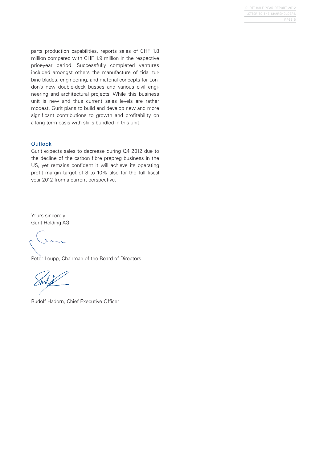parts production capabilities, reports sales of CHF 1.8 million compared with CHF 1.9 million in the respective prior-year period. Successfully completed ventures included amongst others the manufacture of tidal turbine blades, engineering, and material concepts for London's new double-deck busses and various civil engineering and architectural projects. While this business unit is new and thus current sales levels are rather modest, Gurit plans to build and develop new and more significant contributions to growth and profitability on a long term basis with skills bundled in this unit.

## **Outlook**

Gurit expects sales to decrease during Q4 2012 due to the decline of the carbon fibre prepreg business in the US, yet remains confident it will achieve its operating profit margin target of 8 to 10% also for the full fiscal year 2012 from a current perspective.

Yours sincerely Gurit Holding AG

Peter Leupp, Chairman of the Board of Directors

Rudolf Hadorn, Chief Executive Officer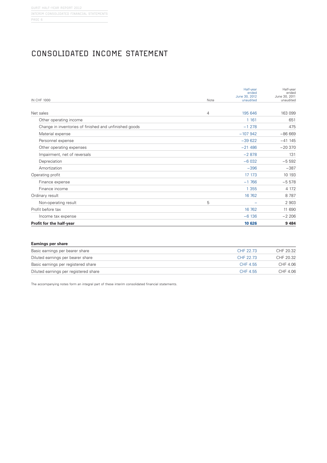# Consolidated Income Statement

| <b>IN CHF 1000</b>                                     | Note | Half-year<br>ended<br>June 30, 2012<br>unaudited | Half-year<br>ended<br>June 30, 2011<br>unaudited |
|--------------------------------------------------------|------|--------------------------------------------------|--------------------------------------------------|
| Net sales                                              | 4    | 195 646                                          | 163 099                                          |
| Other operating income                                 |      | 1 1 6 1                                          | 651                                              |
| Change in inventories of finished and unfinished goods |      | $-1278$                                          | 475                                              |
| Material expense                                       |      | $-107942$                                        | $-86669$                                         |
| Personnel expense                                      |      | $-39622$                                         | $-41$ 145                                        |
| Other operating expenses                               |      | $-21486$                                         | $-20370$                                         |
| Impairment, net of reversals                           |      | $-2878$                                          | 131                                              |
| Depreciation                                           |      | $-6.032$                                         | $-5592$                                          |
| Amortization                                           |      | $-396$                                           | $-387$                                           |
| Operating profit                                       |      | 17 173                                           | 10 193                                           |
| Finance expense                                        |      | $-1,766$                                         | $-5578$                                          |
| Finance income                                         |      | 1 3 5 5                                          | 4 1 7 2                                          |
| Ordinary result                                        |      | 16 762                                           | 8787                                             |
| Non-operating result                                   | 5    |                                                  | 2 9 0 3                                          |
| Profit before tax                                      |      | 16 762                                           | 11 690                                           |
| Income tax expense                                     |      | $-6136$                                          | $-2206$                                          |
| Profit for the half-year                               |      | 10 626                                           | 9 4 8 4                                          |

| <b>Earnings per share</b>             |           |           |
|---------------------------------------|-----------|-----------|
| Basic earnings per bearer share       | CHF 22.73 | CHF 20.32 |
| Diluted earnings per bearer share     | CHF 22.73 | CHF 20.32 |
| Basic earnings per registered share   | CHF 4.55  | CHF 4.06  |
| Diluted earnings per registered share | CHF 4.55  | CHF 4.06  |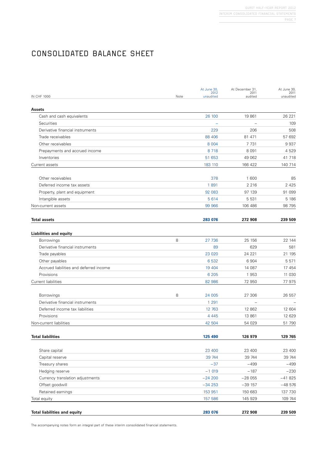# Consolidated balance sheet

|      | At June 30, | At December 31,          | At June 30,                                      |
|------|-------------|--------------------------|--------------------------------------------------|
| Note | unaudited   | audited                  | 2011<br>unaudited                                |
|      |             |                          |                                                  |
|      | 26 100      | 19 861                   | 26 221                                           |
|      |             |                          | 109                                              |
|      | 229         | 206                      | 508                                              |
|      | 88 40 6     | 81 471                   | 57 692                                           |
|      | 8 0 0 4     | 7 7 3 1                  | 9937                                             |
|      | 8718        | 8 0 9 1                  | 4529                                             |
|      | 51 653      | 49 062                   | 41 718                                           |
|      | 183 110     | 166 422                  | 140 714                                          |
|      | 378         | 1 600                    | 85                                               |
|      | 1891        | 2 2 1 6                  | 2 4 2 5                                          |
|      | 92 083      | 97 139                   | 91 099                                           |
|      | 5614        | 5 5 3 1                  | 5 1 8 6                                          |
|      | 99 966      | 106 486                  | 98 795                                           |
|      | 283 076     | 272 908                  | 239 509                                          |
|      |             |                          |                                                  |
| 8    | 27 736      | 25 156                   | 22 144                                           |
|      | 89          | 629                      | 581                                              |
|      | 23 0 20     | 24 221                   | 21 195                                           |
|      | 6 5 32      | 6 9 0 4                  | 5 5 7 1                                          |
|      | 19 4 04     | 14 087                   | 17 454                                           |
|      | 6 2 0 5     | 1953                     | 11 030                                           |
|      | 82 986      | 72 950                   | 77975                                            |
| 8    | 24 005      | 27 306                   | 26 557                                           |
|      | 1 2 9 1     | $\overline{\phantom{0}}$ |                                                  |
|      | 12 763      | 12 862                   | 12 604                                           |
|      | 4 4 4 5     | 13 861                   | 12 629                                           |
|      | 42 504      | 54 029                   | 51 790                                           |
|      | 125 490     | 126 979                  | 129 765                                          |
|      |             |                          | 23 400                                           |
|      | 39 744      |                          | 39 744                                           |
|      | $-37$       | $-499$                   | $-499$                                           |
|      | $-1019$     | $-187$                   | $-230$                                           |
|      | $-24200$    |                          | $-41825$                                         |
|      | $-34253$    |                          | $-48576$                                         |
|      | 153 951     | 150 683                  | 137 730                                          |
|      | 157 586     | 145 929                  | 109 744                                          |
|      | 283 076     | 272 908                  | 239 509                                          |
|      |             | 2012<br>23 400           | 2011<br>23 400<br>39 744<br>$-28055$<br>$-39157$ |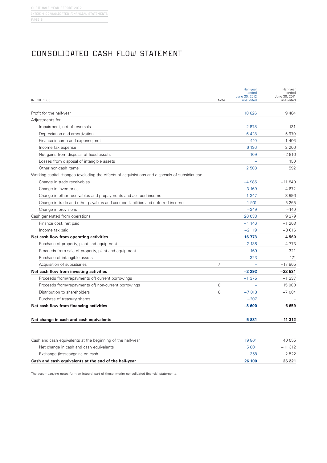## Consolidated Cash flow statement

| <b>IN CHF 1000</b>                                                                              | Note           | Half-year<br>ended<br>June 30, 2012<br>unaudited | Half-year<br>ended<br>June 30, 2011<br>unaudited |
|-------------------------------------------------------------------------------------------------|----------------|--------------------------------------------------|--------------------------------------------------|
| Profit for the half-year                                                                        |                | 10 626                                           | 9484                                             |
| Adjustments for:                                                                                |                |                                                  |                                                  |
| Impairment, net of reversals                                                                    |                | 2878                                             | $-131$                                           |
| Depreciation and amortization                                                                   |                | 6428                                             | 5979                                             |
| Finance income and expense, net                                                                 |                | 410                                              | 1 40 6                                           |
| Income tax expense                                                                              |                | 6 1 3 6                                          | 2 2 0 6                                          |
| Net gains from disposal of fixed assets                                                         |                | 109                                              | $-2916$                                          |
| Losses from disposal of intangible assets                                                       |                |                                                  | 150                                              |
| Other non-cash items                                                                            |                | 2 508                                            | 592                                              |
| Working capital changes (excluding the effects of acquisistions and disposals of subsidiaries): |                |                                                  |                                                  |
| Change in trade receivables                                                                     |                | $-4985$                                          | $-11840$                                         |
| Change in inventories                                                                           |                | $-3169$                                          | $-4672$                                          |
| Change in other receivables and prepayments and accrued income                                  |                | 1 3 4 7                                          | 3 9 9 6                                          |
| Change in trade and other payables and accrued liabilities and deferred income                  |                | $-1$ 901                                         | 5 2 6 5                                          |
| Change in provisions                                                                            |                | $-349$                                           | $-140$                                           |
| Cash generated from operations                                                                  |                | 20 038                                           | 9 3 7 9                                          |
| Finance cost, net paid                                                                          |                | $-1$ 146                                         | $-1203$                                          |
| Income tax paid                                                                                 |                | $-2119$                                          | $-3616$                                          |
| Net cash flow from operating activities                                                         |                | 16 773                                           | 4560                                             |
| Purchase of property, plant and equipment                                                       |                | $-2138$                                          | $-4773$                                          |
| Proceeds from sale of property, plant and equipment                                             |                | 169                                              | 321                                              |
| Purchase of intangible assets                                                                   |                | $-323$                                           | $-174$                                           |
| Acquisition of subsidiaries                                                                     | $\overline{7}$ |                                                  | $-17905$                                         |
| Net cash flow from investing activities                                                         |                | $-2292$                                          | $-22531$                                         |
| Proceeds from/(repayments of) current borrowings                                                |                | $-1375$                                          | $-1337$                                          |
| Proceeds from/(repayments of) non-current borrowings                                            | 8              |                                                  | 15 000                                           |
| Distribution to shareholders                                                                    | 6              | $-7018$                                          | $-7004$                                          |
| Purchase of treasury shares                                                                     |                | $-207$                                           |                                                  |
| Net cash flow from financing activities                                                         |                | $-8600$                                          | 6659                                             |
|                                                                                                 |                |                                                  |                                                  |
| Net change in cash and cash equivalents                                                         |                | 5881                                             | $-11312$                                         |
| Cash and cash equivalents at the beginning of the half-year                                     |                | 19 861                                           | 40 055                                           |
| Net change in cash and cash equivalents                                                         |                | 5 8 8 1                                          | $-11312$                                         |

Exchange (losses)/gains on cash 358 –2 522 **Cash and cash equivalents at the end of the half-year 26 100 26 221**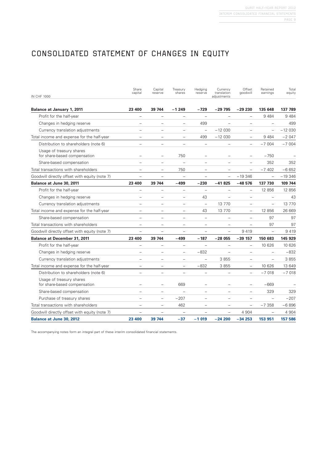# CONSOLIDATED STATEMENT OF CHANGES IN EQUITY

| <b>IN CHF 1000</b>                                       | Share<br>capital         | Capital<br>reserve       | Treasury<br>shares       | Hedging<br>reserve       | Currency<br>translation<br>adjustments | Offset<br>qoodwill       | Retained<br>earnings     | Total<br>equity |
|----------------------------------------------------------|--------------------------|--------------------------|--------------------------|--------------------------|----------------------------------------|--------------------------|--------------------------|-----------------|
| <b>Balance at January 1, 2011</b>                        | 23 400                   | 39 744                   | $-1249$                  | $-729$                   | $-29795$                               | $-29230$                 | 135 648                  | 137 789         |
| Profit for the half-year                                 | $\equiv$                 | $\overline{\phantom{0}}$ | $=$                      | $\equiv$                 | $\overline{\phantom{0}}$               | $\overline{a}$           | 9 4 8 4                  | 9484            |
| Changes in hedging reserve                               |                          | $\overline{\phantom{0}}$ | $\overline{\phantom{0}}$ | 499                      |                                        | $\overline{\phantom{0}}$ | $\overline{\phantom{0}}$ | 499             |
| Currency translation adjustments                         | $\equiv$                 | $\overline{\phantom{0}}$ | $\overline{\phantom{0}}$ | $\overline{\phantom{0}}$ | $-12030$                               | $\overline{\phantom{0}}$ | $\qquad \qquad -$        | $-12030$        |
| Total income and expense for the half-year               | $\equiv$                 | $\equiv$                 | $\equiv$                 | 499                      | $-12030$                               | $\equiv$                 | 9484                     | $-2047$         |
| Distribution to shareholders (note 6)                    | $\equiv$                 | $\equiv$                 | $\equiv$                 | $\overline{\phantom{0}}$ | $\equiv$                               | $\equiv$                 | $-7004$                  | $-7004$         |
| Usage of treasury shares<br>for share-based compensation |                          |                          | 750                      |                          |                                        | $\equiv$                 | $-750$                   |                 |
| Share-based compensation                                 |                          | $\qquad \qquad -$        |                          | $\qquad \qquad -$        | $\overline{\phantom{0}}$               | $\qquad \qquad -$        | 352                      | 352             |
| Total transactions with shareholders                     | $\overline{\phantom{m}}$ | $\overline{\phantom{m}}$ | 750                      | $\overline{\phantom{m}}$ | $\overline{\phantom{0}}$               | $\equiv$                 | $-7402$                  | $-6652$         |
| Goodwill directly offset with equity (note 7)            | $\equiv$                 | $\equiv$                 | $\equiv$                 | $\equiv$                 | $\equiv$                               | $-19346$                 | $\equiv$                 | $-19346$        |
| Balance at June 30, 2011                                 | 23 400                   | 39 744                   | $-499$                   | $-230$                   | $-41825$                               | $-48576$                 | 137 730                  | 109 744         |
| Profit for the half-year                                 | $\equiv$                 | $\overline{\phantom{0}}$ | $\overline{\phantom{m}}$ | $\equiv$                 |                                        | $\overline{\phantom{m}}$ | 12 856                   | 12 856          |
| Changes in hedging reserve                               | $\equiv$                 | L.                       | $\overline{\phantom{0}}$ | 43                       |                                        | $\equiv$                 | $\overline{\phantom{0}}$ | 43              |
| Currency translation adjustments                         | $\qquad \qquad =$        |                          | $\qquad \qquad -$        | $\overline{\phantom{m}}$ | 13 7 7 0                               | $\overline{\phantom{m}}$ | $\overline{\phantom{m}}$ | 13 770          |
| Total income and expense for the half-year               | L,                       | $\overline{\phantom{0}}$ | $\qquad \qquad -$        | 43                       | 13 770                                 | $\equiv$                 | 12 856                   | 26 669          |
| Share-based compensation                                 | $\overline{\phantom{0}}$ | $\overline{\phantom{0}}$ | $\equiv$                 | $\equiv$                 | $\equiv$                               | $\overline{\phantom{0}}$ | 97                       | 97              |
| Total transactions with shareholders                     | $\equiv$                 | $\overline{\phantom{0}}$ | $\overline{\phantom{0}}$ | $\equiv$                 | $\equiv$                               | $\equiv$                 | 97                       | 97              |
| Goodwill directly offset with equity (note 7)            |                          |                          |                          |                          |                                        | 9419                     | $\overline{\phantom{0}}$ | 9419            |
| Balance at December 31, 2011                             | 23 400                   | 39 744                   | -499                     | $-187$                   | $-28055$                               | $-39$ 157                | 150 683                  | 145 929         |
| Profit for the half-year                                 | $\overline{\phantom{0}}$ | $\overline{\phantom{0}}$ | $\qquad \qquad -$        | $\overline{\phantom{0}}$ | $\equiv$                               | $\overline{\phantom{m}}$ | 10 626                   | 10 626          |
| Changes in hedging reserve                               |                          | $\overline{\phantom{0}}$ | $\equiv$                 | $-832$                   |                                        | $\equiv$                 | $\overline{\phantom{0}}$ | $-832$          |
| Currency translation adjustments                         |                          |                          | $\qquad \qquad -$        | $\overline{\phantom{a}}$ | 3855                                   | $\qquad \qquad -$        | $\qquad \qquad -$        | 3855            |
| Total income and expense for the half-year               | $\equiv$                 | $\equiv$                 | $\equiv$                 | $-832$                   | 3855                                   | $\equiv$                 | 10 626                   | 13 649          |
| Distribution to shareholders (note 6)                    | $\equiv$                 | $\overline{a}$           | $\overline{a}$           | $\equiv$                 | $\equiv$                               | $\overline{\phantom{0}}$ | $-7018$                  | $-7018$         |
| Usage of treasury shares<br>for share-based compensation |                          | $\equiv$                 | 669                      |                          |                                        | $\equiv$                 | $-669$                   |                 |
| Share-based compensation                                 |                          | $\overline{\phantom{0}}$ | $\overline{\phantom{0}}$ | $\overline{\phantom{0}}$ |                                        | $\overline{\phantom{0}}$ | 329                      | 329             |
| Purchase of treasury shares                              |                          | $\qquad \qquad -$        | $-207$                   |                          | $\overline{\phantom{0}}$               | $\qquad \qquad -$        | $\overline{\phantom{0}}$ | $-207$          |
| Total transactions with shareholders                     | $\overline{\phantom{0}}$ | $\overline{\phantom{0}}$ | 462                      | $\overline{\phantom{a}}$ | $\equiv$                               | $\equiv$                 | $-7358$                  | $-6896$         |
| Goodwill directly offset with equity (note 7)            |                          | $\overline{\phantom{0}}$ | $\equiv$                 |                          |                                        | 4 9 0 4                  |                          | 4 9 0 4         |
| <b>Balance at June 30, 2012</b>                          | 23 400                   | 39 744                   | $-37$                    | $-1019$                  | $-24200$                               | $-34253$                 | 153 951                  | 157 586         |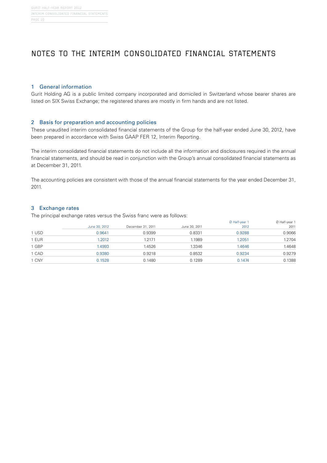## Notes to the interim consolidated financial statements

### 1 General information

Gurit Holding AG is a public limited company incorporated and domiciled in Switzerland whose bearer shares are listed on SIX Swiss Exchange; the registered shares are mostly in firm hands and are not listed.

### 2 Basis for preparation and accounting policies

These unaudited interim consolidated financial statements of the Group for the half-year ended June 30, 2012, have been prepared in accordance with Swiss GAAP FER 12, Interim Reporting.

The interim consolidated financial statements do not include all the information and disclosures required in the annual financial statements, and should be read in conjunction with the Group's annual consolidated financial statements as at December 31, 2011.

The accounting policies are consistent with those of the annual financial statements for the year ended December 31, 2011.

### 3 Exchange rates

The principal exchange rates versus the Swiss franc were as follows:

|       |               |                   |               | Ø Half-year 1 | Ø Half-year 1 |
|-------|---------------|-------------------|---------------|---------------|---------------|
|       | June 30, 2012 | December 31, 2011 | June 30, 2011 | 2012          | 2011          |
| 1 USD | 0.9641        | 0.9399            | 0.8331        | 0.9288        | 0.9066        |
| 1 EUR | 1.2012        | 1.2171            | 1.1989        | 1.2051        | 1.2704        |
| 1 GBP | 1.4993        | 1.4526            | 1.3346        | <b>.4646</b>  | 1.4648        |
| 1 CAD | 0.9380        | 0.9218            | 0.8532        | 0.9234        | 0.9279        |
| 1 CNY | 0.1528        | 0.1480            | 0.1289        | 0.1474        | 0.1388        |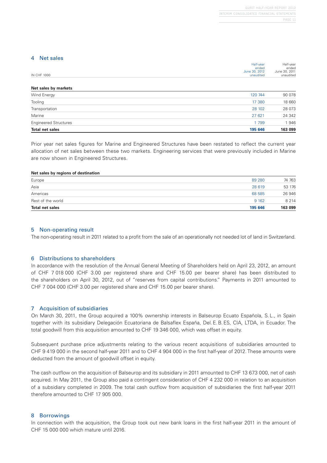#### 4 Net sales

|                    | Half-year     | Half-year     |
|--------------------|---------------|---------------|
|                    | ended         | ended         |
|                    | June 30, 2012 | June 30, 2011 |
| <b>IN CHF 1000</b> | unaudited     | unaudited     |
|                    |               |               |
|                    |               |               |

| Net sales by markets         |         |         |
|------------------------------|---------|---------|
| Wind Energy                  | 120 744 | 90 078  |
| Tooling                      | 17 380  | 18 660  |
| Transportation               | 28 102  | 28 073  |
| Marine                       | 27 621  | 24 342  |
| <b>Engineered Structures</b> | 1 799   | 1946    |
| <b>Total net sales</b>       | 195 646 | 163 099 |

Prior year net sales figures for Marine and Engineered Structures have been restated to reflect the current year allocation of net sales between these two markets. Engineering services that were previously included in Marine are now shown in Engineered Structures.

#### **Net sales by regions of destination**

| <b>Total net sales</b> | 195 646 | 163 099 |
|------------------------|---------|---------|
|                        |         |         |
| Rest of the world      | 9 1 6 2 | 8 2 1 4 |
| Americas               | 68 585  | 26 946  |
| Asia                   | 28 619  | 53 176  |
| Europe                 | 89 280  | 74 763  |
|                        |         |         |

#### 5 Non-operating result

The non-operating result in 2011 related to a profit from the sale of an operationally not needed lot of land in Switzerland.

### 6 Distributions to shareholders

In accordance with the resolution of the Annual General Meeting of Shareholders held on April 23, 2012, an amount of CHF 7 018 000 (CHF 3.00 per registered share and CHF 15.00 per bearer share) has been distributed to the shareholders on April 30, 2012, out of "reserves from capital contributions." Payments in 2011 amounted to CHF 7 004 000 (CHF 3.00 per registered share and CHF 15.00 per bearer share).

### 7 Acquisition of subsidiaries

On March 30, 2011, the Group acquired a 100% ownership interests in Balseurop Ecuato Española, S.L., in Spain together with its subsidiary Delegación Ecuatoriana de Balsaflex España, Del.E.B.ES, CIA, LTDA, in Ecuador. The total goodwill from this acquisition amounted to CHF 19 346 000, which was offset in equity.

Subsequent purchase price adjustments relating to the various recent acquisitions of subsidiaries amounted to CHF 9 419 000 in the second half-year 2011 and to CHF 4 904 000 in the first half-year of 2012. These amounts were deducted from the amount of goodwill offset in equity.

The cash outflow on the acquisition of Balseurop and its subsidiary in 2011 amounted to CHF 13 673 000, net of cash acquired. In May 2011, the Group also paid a contingent consideration of CHF 4 232 000 in relation to an acquisition of a subsidiary completed in 2009. The total cash outflow from acquisition of subsidiaries the first half-year 2011 therefore amounted to CHF 17 905 000.

### 8 Borrowings

In connection with the acquisition, the Group took out new bank loans in the first half-year 2011 in the amount of CHF 15 000 000 which mature until 2016.